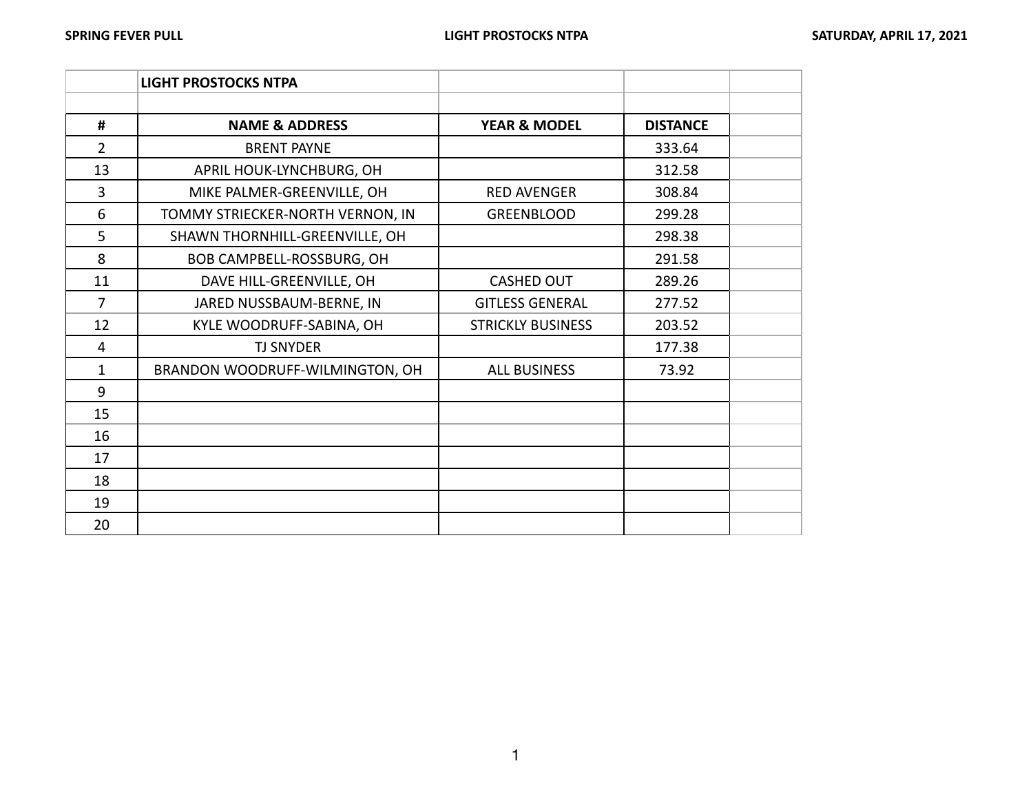|                | <b>LIGHT PROSTOCKS NTPA</b>      |                          |                 |  |
|----------------|----------------------------------|--------------------------|-----------------|--|
|                |                                  |                          |                 |  |
| #              | <b>NAME &amp; ADDRESS</b>        | <b>YEAR &amp; MODEL</b>  | <b>DISTANCE</b> |  |
| $\overline{2}$ | <b>BRENT PAYNE</b>               |                          | 333.64          |  |
| 13             | APRIL HOUK-LYNCHBURG, OH         |                          | 312.58          |  |
| 3              | MIKE PALMER-GREENVILLE, OH       | <b>RED AVENGER</b>       | 308.84          |  |
| 6              | TOMMY STRIECKER-NORTH VERNON, IN | <b>GREENBLOOD</b>        | 299.28          |  |
| 5              | SHAWN THORNHILL-GREENVILLE, OH   |                          | 298.38          |  |
| 8              | BOB CAMPBELL-ROSSBURG, OH        |                          | 291.58          |  |
| 11             | DAVE HILL-GREENVILLE, OH         | <b>CASHED OUT</b>        | 289.26          |  |
| 7              | JARED NUSSBAUM-BERNE, IN         | <b>GITLESS GENERAL</b>   | 277.52          |  |
| 12             | KYLE WOODRUFF-SABINA, OH         | <b>STRICKLY BUSINESS</b> | 203.52          |  |
| 4              | <b>TJ SNYDER</b>                 |                          | 177.38          |  |
| $\mathbf{1}$   | BRANDON WOODRUFF-WILMINGTON, OH  | <b>ALL BUSINESS</b>      | 73.92           |  |
| 9              |                                  |                          |                 |  |
| 15             |                                  |                          |                 |  |
| 16             |                                  |                          |                 |  |
| 17             |                                  |                          |                 |  |
| 18             |                                  |                          |                 |  |
| 19             |                                  |                          |                 |  |
| 20             |                                  |                          |                 |  |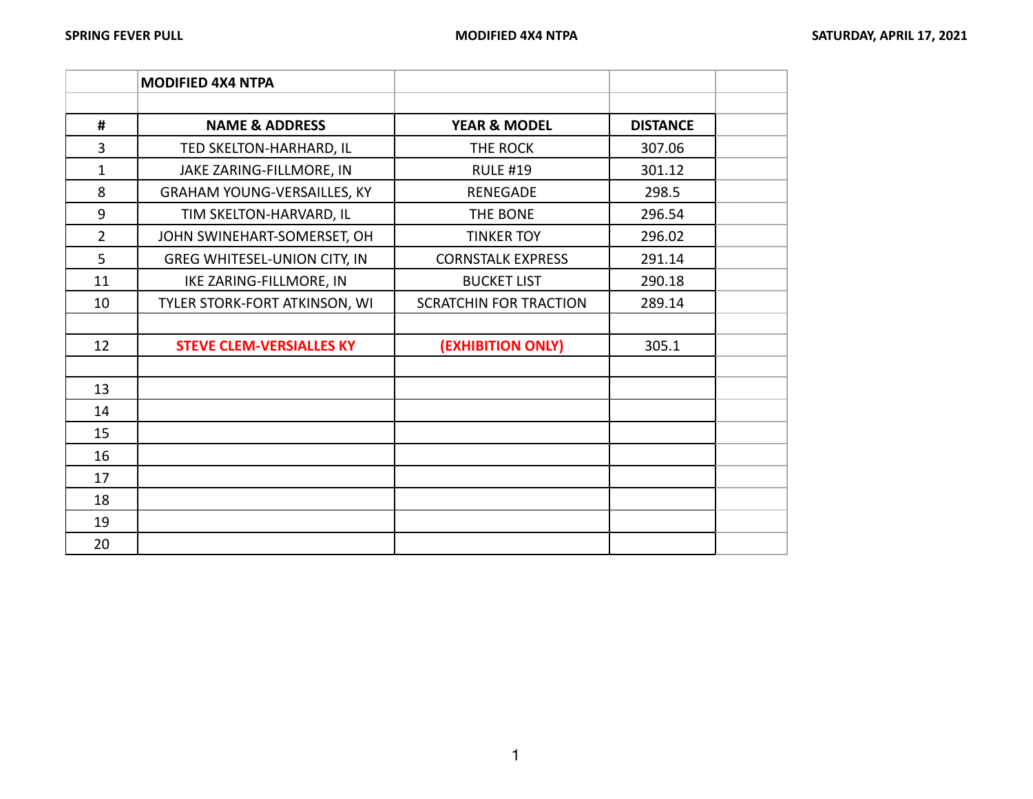|                | <b>MODIFIED 4X4 NTPA</b>            |                               |                 |  |
|----------------|-------------------------------------|-------------------------------|-----------------|--|
|                |                                     |                               |                 |  |
| #              | <b>NAME &amp; ADDRESS</b>           | <b>YEAR &amp; MODEL</b>       | <b>DISTANCE</b> |  |
| 3              | TED SKELTON-HARHARD, IL             | THE ROCK                      | 307.06          |  |
| 1              | JAKE ZARING-FILLMORE, IN            | <b>RULE #19</b>               | 301.12          |  |
| 8              | <b>GRAHAM YOUNG-VERSAILLES, KY</b>  | <b>RENEGADE</b>               | 298.5           |  |
| 9              | TIM SKELTON-HARVARD, IL             | THE BONE                      | 296.54          |  |
| $\overline{2}$ | JOHN SWINEHART-SOMERSET, OH         | <b>TINKER TOY</b>             | 296.02          |  |
| 5              | <b>GREG WHITESEL-UNION CITY, IN</b> | <b>CORNSTALK EXPRESS</b>      | 291.14          |  |
| 11             | IKE ZARING-FILLMORE, IN             | <b>BUCKET LIST</b>            | 290.18          |  |
| 10             | TYLER STORK-FORT ATKINSON, WI       | <b>SCRATCHIN FOR TRACTION</b> | 289.14          |  |
|                |                                     |                               |                 |  |
| 12             | <b>STEVE CLEM-VERSIALLES KY</b>     | (EXHIBITION ONLY)             | 305.1           |  |
|                |                                     |                               |                 |  |
| 13             |                                     |                               |                 |  |
| 14             |                                     |                               |                 |  |
| 15             |                                     |                               |                 |  |
| 16             |                                     |                               |                 |  |
| 17             |                                     |                               |                 |  |
| 18             |                                     |                               |                 |  |
| 19             |                                     |                               |                 |  |
| 20             |                                     |                               |                 |  |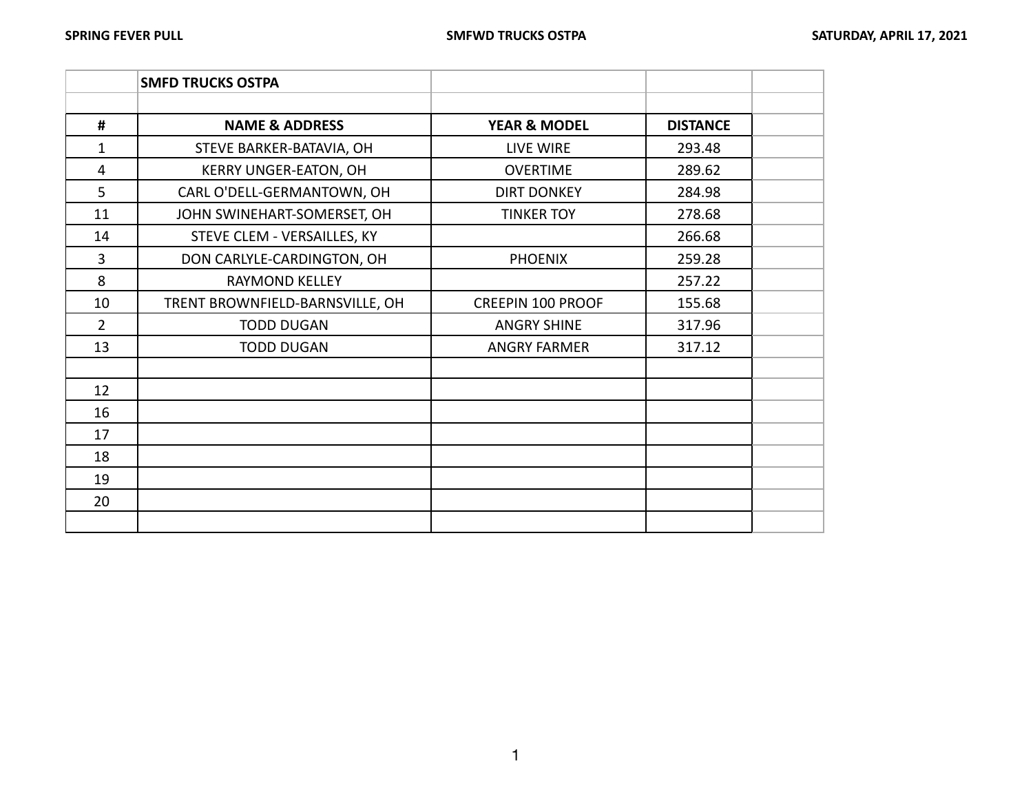|                | <b>SMFD TRUCKS OSTPA</b>        |                          |                 |  |
|----------------|---------------------------------|--------------------------|-----------------|--|
|                |                                 |                          |                 |  |
| #              | <b>NAME &amp; ADDRESS</b>       | <b>YEAR &amp; MODEL</b>  | <b>DISTANCE</b> |  |
| 1              | STEVE BARKER-BATAVIA, OH        | LIVE WIRE                | 293.48          |  |
| $\overline{4}$ | <b>KERRY UNGER-EATON, OH</b>    | <b>OVERTIME</b>          | 289.62          |  |
| 5              | CARL O'DELL-GERMANTOWN, OH      | <b>DIRT DONKEY</b>       | 284.98          |  |
| 11             | JOHN SWINEHART-SOMERSET, OH     | <b>TINKER TOY</b>        | 278.68          |  |
| 14             | STEVE CLEM - VERSAILLES, KY     |                          | 266.68          |  |
| 3              | DON CARLYLE-CARDINGTON, OH      | <b>PHOENIX</b>           | 259.28          |  |
| 8              | <b>RAYMOND KELLEY</b>           |                          | 257.22          |  |
| 10             | TRENT BROWNFIELD-BARNSVILLE, OH | <b>CREEPIN 100 PROOF</b> | 155.68          |  |
| $\overline{2}$ | <b>TODD DUGAN</b>               | <b>ANGRY SHINE</b>       | 317.96          |  |
| 13             | <b>TODD DUGAN</b>               | <b>ANGRY FARMER</b>      | 317.12          |  |
|                |                                 |                          |                 |  |
| 12             |                                 |                          |                 |  |
| 16             |                                 |                          |                 |  |
| 17             |                                 |                          |                 |  |
| 18             |                                 |                          |                 |  |
| 19             |                                 |                          |                 |  |
| 20             |                                 |                          |                 |  |
|                |                                 |                          |                 |  |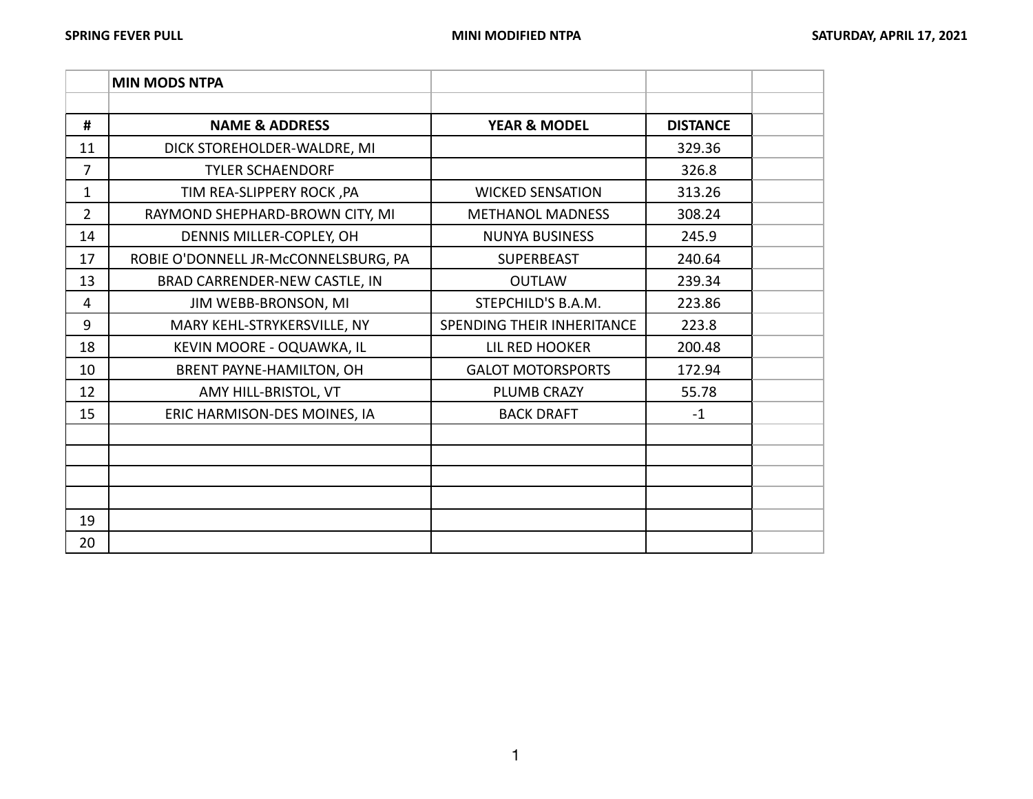|                | <b>MIN MODS NTPA</b>                 |                            |                 |  |
|----------------|--------------------------------------|----------------------------|-----------------|--|
|                |                                      |                            |                 |  |
| #              | <b>NAME &amp; ADDRESS</b>            | <b>YEAR &amp; MODEL</b>    | <b>DISTANCE</b> |  |
| 11             | DICK STOREHOLDER-WALDRE, MI          |                            | 329.36          |  |
| 7              | <b>TYLER SCHAENDORF</b>              |                            | 326.8           |  |
| 1              | TIM REA-SLIPPERY ROCK, PA            | <b>WICKED SENSATION</b>    | 313.26          |  |
| $\overline{2}$ | RAYMOND SHEPHARD-BROWN CITY, MI      | <b>METHANOL MADNESS</b>    | 308.24          |  |
| 14             | DENNIS MILLER-COPLEY, OH             | <b>NUNYA BUSINESS</b>      | 245.9           |  |
| 17             | ROBIE O'DONNELL JR-MCCONNELSBURG, PA | <b>SUPERBEAST</b>          | 240.64          |  |
| 13             | BRAD CARRENDER-NEW CASTLE, IN        | <b>OUTLAW</b>              | 239.34          |  |
| 4              | JIM WEBB-BRONSON, MI                 | STEPCHILD'S B.A.M.         | 223.86          |  |
| 9              | MARY KEHL-STRYKERSVILLE, NY          | SPENDING THEIR INHERITANCE | 223.8           |  |
| 18             | KEVIN MOORE - OQUAWKA, IL            | LIL RED HOOKER             | 200.48          |  |
| 10             | BRENT PAYNE-HAMILTON, OH             | <b>GALOT MOTORSPORTS</b>   | 172.94          |  |
| 12             | AMY HILL-BRISTOL, VT                 | <b>PLUMB CRAZY</b>         | 55.78           |  |
| 15             | ERIC HARMISON-DES MOINES, IA         | <b>BACK DRAFT</b>          | $-1$            |  |
|                |                                      |                            |                 |  |
|                |                                      |                            |                 |  |
|                |                                      |                            |                 |  |
|                |                                      |                            |                 |  |
| 19             |                                      |                            |                 |  |
| 20             |                                      |                            |                 |  |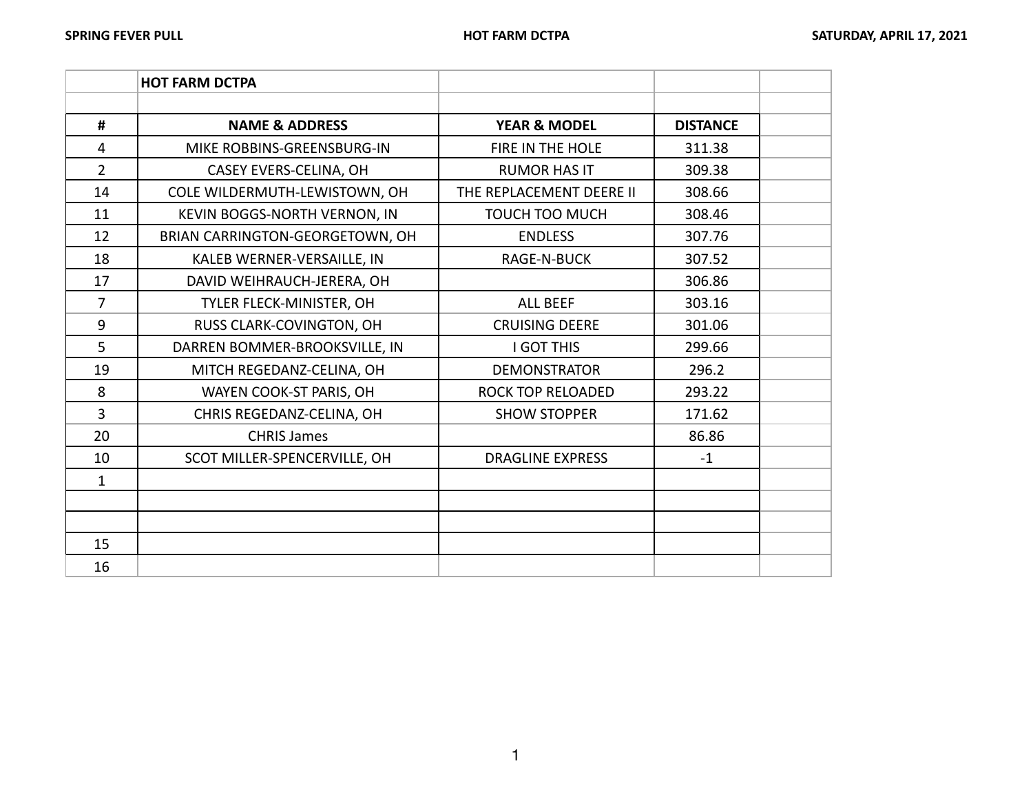|                | <b>HOT FARM DCTPA</b>           |                          |                 |  |
|----------------|---------------------------------|--------------------------|-----------------|--|
|                |                                 |                          |                 |  |
| #              | <b>NAME &amp; ADDRESS</b>       | <b>YEAR &amp; MODEL</b>  | <b>DISTANCE</b> |  |
| 4              | MIKE ROBBINS-GREENSBURG-IN      | FIRE IN THE HOLE         | 311.38          |  |
| $\overline{2}$ | CASEY EVERS-CELINA, OH          | <b>RUMOR HAS IT</b>      | 309.38          |  |
| 14             | COLE WILDERMUTH-LEWISTOWN, OH   | THE REPLACEMENT DEERE II | 308.66          |  |
| 11             | KEVIN BOGGS-NORTH VERNON, IN    | <b>TOUCH TOO MUCH</b>    | 308.46          |  |
| 12             | BRIAN CARRINGTON-GEORGETOWN, OH | <b>ENDLESS</b>           | 307.76          |  |
| 18             | KALEB WERNER-VERSAILLE, IN      | <b>RAGE-N-BUCK</b>       | 307.52          |  |
| 17             | DAVID WEIHRAUCH-JERERA, OH      |                          | 306.86          |  |
| $\overline{7}$ | TYLER FLECK-MINISTER, OH        | <b>ALL BEEF</b>          | 303.16          |  |
| 9              | RUSS CLARK-COVINGTON, OH        | <b>CRUISING DEERE</b>    | 301.06          |  |
| 5              | DARREN BOMMER-BROOKSVILLE, IN   | <b>I GOT THIS</b>        | 299.66          |  |
| 19             | MITCH REGEDANZ-CELINA, OH       | <b>DEMONSTRATOR</b>      | 296.2           |  |
| 8              | WAYEN COOK-ST PARIS, OH         | ROCK TOP RELOADED        | 293.22          |  |
| $\overline{3}$ | CHRIS REGEDANZ-CELINA, OH       | <b>SHOW STOPPER</b>      | 171.62          |  |
| 20             | <b>CHRIS James</b>              |                          | 86.86           |  |
| 10             | SCOT MILLER-SPENCERVILLE, OH    | <b>DRAGLINE EXPRESS</b>  | $-1$            |  |
| $\mathbf{1}$   |                                 |                          |                 |  |
|                |                                 |                          |                 |  |
|                |                                 |                          |                 |  |
| 15             |                                 |                          |                 |  |
| 16             |                                 |                          |                 |  |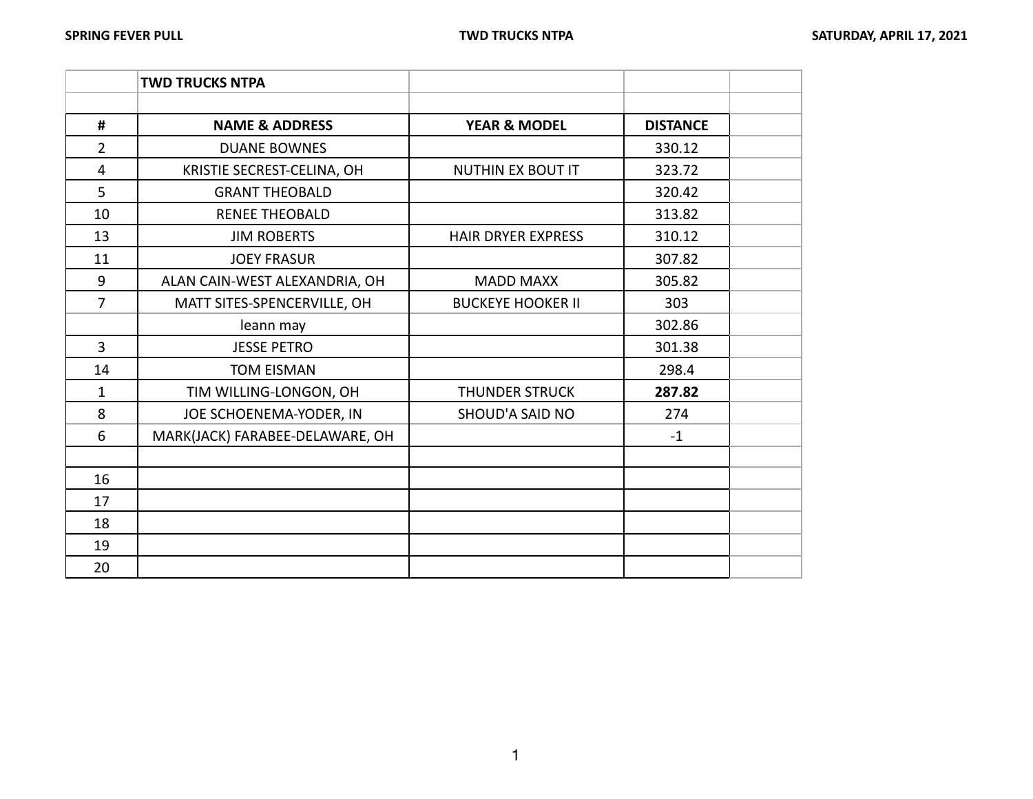|                | <b>TWD TRUCKS NTPA</b>          |                           |                 |  |
|----------------|---------------------------------|---------------------------|-----------------|--|
|                |                                 |                           |                 |  |
| #              | <b>NAME &amp; ADDRESS</b>       | <b>YEAR &amp; MODEL</b>   | <b>DISTANCE</b> |  |
| $\overline{2}$ | <b>DUANE BOWNES</b>             |                           | 330.12          |  |
| 4              | KRISTIE SECREST-CELINA, OH      | <b>NUTHIN EX BOUT IT</b>  | 323.72          |  |
| 5              | <b>GRANT THEOBALD</b>           |                           | 320.42          |  |
| 10             | <b>RENEE THEOBALD</b>           |                           | 313.82          |  |
| 13             | <b>JIM ROBERTS</b>              | <b>HAIR DRYER EXPRESS</b> | 310.12          |  |
| 11             | <b>JOEY FRASUR</b>              |                           | 307.82          |  |
| 9              | ALAN CAIN-WEST ALEXANDRIA, OH   | <b>MADD MAXX</b>          | 305.82          |  |
| $\overline{7}$ | MATT SITES-SPENCERVILLE, OH     | <b>BUCKEYE HOOKER II</b>  | 303             |  |
|                | leann may                       |                           | 302.86          |  |
| $\overline{3}$ | <b>JESSE PETRO</b>              |                           | 301.38          |  |
| 14             | <b>TOM EISMAN</b>               |                           | 298.4           |  |
| $\mathbf{1}$   | TIM WILLING-LONGON, OH          | <b>THUNDER STRUCK</b>     | 287.82          |  |
| 8              | JOE SCHOENEMA-YODER, IN         | SHOUD'A SAID NO           | 274             |  |
| 6              | MARK(JACK) FARABEE-DELAWARE, OH |                           | $-1$            |  |
|                |                                 |                           |                 |  |
| 16             |                                 |                           |                 |  |
| 17             |                                 |                           |                 |  |
| 18             |                                 |                           |                 |  |
| 19             |                                 |                           |                 |  |
| 20             |                                 |                           |                 |  |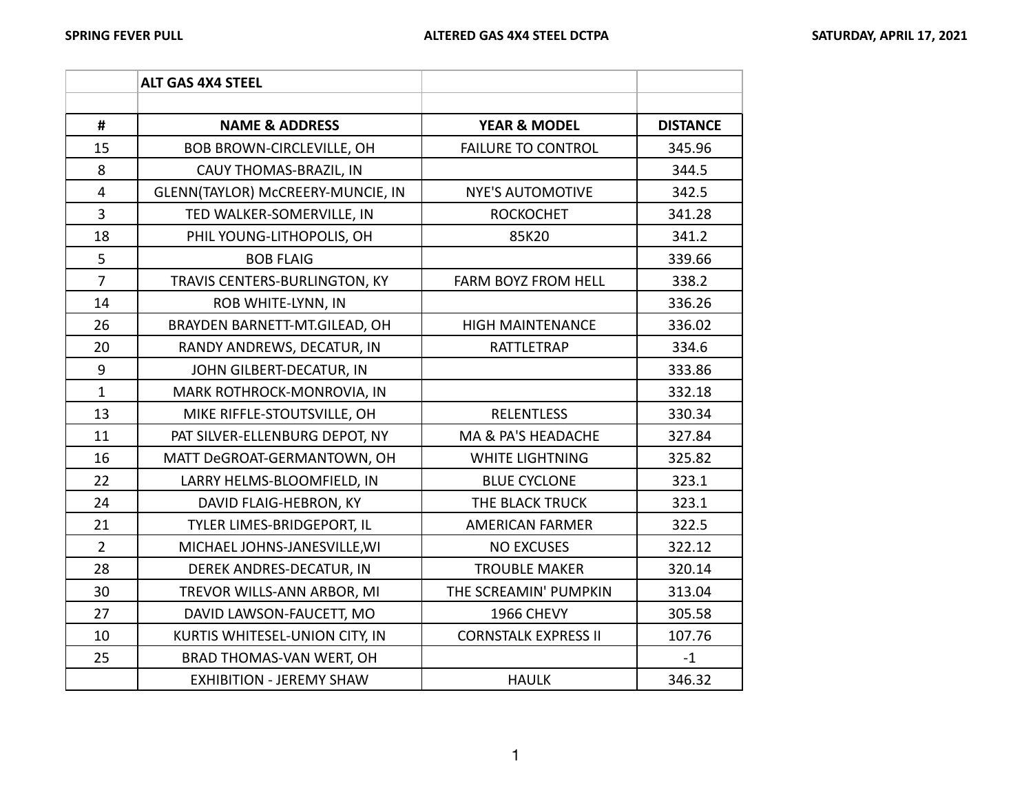|                         | <b>ALT GAS 4X4 STEEL</b>          |                             |                 |
|-------------------------|-----------------------------------|-----------------------------|-----------------|
|                         |                                   |                             |                 |
| #                       | <b>NAME &amp; ADDRESS</b>         | <b>YEAR &amp; MODEL</b>     | <b>DISTANCE</b> |
| 15                      | BOB BROWN-CIRCLEVILLE, OH         | <b>FAILURE TO CONTROL</b>   | 345.96          |
| 8                       | CAUY THOMAS-BRAZIL, IN            |                             | 344.5           |
| $\overline{\mathbf{4}}$ | GLENN(TAYLOR) McCREERY-MUNCIE, IN | <b>NYE'S AUTOMOTIVE</b>     | 342.5           |
| $\overline{3}$          | TED WALKER-SOMERVILLE, IN         | <b>ROCKOCHET</b>            | 341.28          |
| 18                      | PHIL YOUNG-LITHOPOLIS, OH         | 85K20                       | 341.2           |
| 5                       | <b>BOB FLAIG</b>                  |                             | 339.66          |
| $\overline{7}$          | TRAVIS CENTERS-BURLINGTON, KY     | FARM BOYZ FROM HELL         | 338.2           |
| 14                      | ROB WHITE-LYNN, IN                |                             | 336.26          |
| 26                      | BRAYDEN BARNETT-MT.GILEAD, OH     | <b>HIGH MAINTENANCE</b>     | 336.02          |
| 20                      | RANDY ANDREWS, DECATUR, IN        | <b>RATTLETRAP</b>           | 334.6           |
| $\boldsymbol{9}$        | JOHN GILBERT-DECATUR, IN          |                             | 333.86          |
| $\mathbf{1}$            | MARK ROTHROCK-MONROVIA, IN        |                             | 332.18          |
| 13                      | MIKE RIFFLE-STOUTSVILLE, OH       | <b>RELENTLESS</b>           | 330.34          |
| 11                      | PAT SILVER-ELLENBURG DEPOT, NY    | MA & PA'S HEADACHE          | 327.84          |
| 16                      | MATT DeGROAT-GERMANTOWN, OH       | <b>WHITE LIGHTNING</b>      | 325.82          |
| 22                      | LARRY HELMS-BLOOMFIELD, IN        | <b>BLUE CYCLONE</b>         | 323.1           |
| 24                      | DAVID FLAIG-HEBRON, KY            | THE BLACK TRUCK             | 323.1           |
| 21                      | TYLER LIMES-BRIDGEPORT, IL        | <b>AMERICAN FARMER</b>      | 322.5           |
| $\overline{2}$          | MICHAEL JOHNS-JANESVILLE, WI      | <b>NO EXCUSES</b>           | 322.12          |
| 28                      | DEREK ANDRES-DECATUR, IN          | <b>TROUBLE MAKER</b>        | 320.14          |
| 30                      | TREVOR WILLS-ANN ARBOR, MI        | THE SCREAMIN' PUMPKIN       | 313.04          |
| 27                      | DAVID LAWSON-FAUCETT, MO          | 1966 CHEVY                  | 305.58          |
| 10                      | KURTIS WHITESEL-UNION CITY, IN    | <b>CORNSTALK EXPRESS II</b> | 107.76          |
| 25                      | BRAD THOMAS-VAN WERT, OH          |                             | $-1$            |
|                         | <b>EXHIBITION - JEREMY SHAW</b>   | <b>HAULK</b>                | 346.32          |